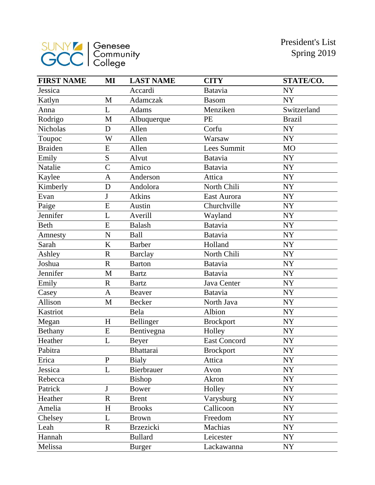

| <b>FIRST NAME</b> | MI             | <b>LAST NAME</b> | <b>CITY</b>         | STATE/CO.     |
|-------------------|----------------|------------------|---------------------|---------------|
| Jessica           |                | Accardi          | Batavia             | <b>NY</b>     |
| Katlyn            | M              | Adamczak         | <b>Basom</b>        | <b>NY</b>     |
| Anna              | L              | <b>Adams</b>     | Menziken            | Switzerland   |
| Rodrigo           | M              | Albuquerque      | PE                  | <b>Brazil</b> |
| Nicholas          | D              | Allen            | Corfu               | <b>NY</b>     |
| Toupoc            | W              | Allen            | Warsaw              | <b>NY</b>     |
| <b>Braiden</b>    | E              | Allen            | Lees Summit         | <b>MO</b>     |
| Emily             | S              | Alvut            | Batavia             | <b>NY</b>     |
| Natalie           | $\overline{C}$ | Amico            | <b>Batavia</b>      | <b>NY</b>     |
| Kaylee            | $\overline{A}$ | Anderson         | Attica              | <b>NY</b>     |
| Kimberly          | D              | Andolora         | North Chili         | <b>NY</b>     |
| Evan              | J              | <b>Atkins</b>    | East Aurora         | <b>NY</b>     |
| Paige             | E              | Austin           | Churchville         | <b>NY</b>     |
| Jennifer          | L              | Averill          | Wayland             | <b>NY</b>     |
| Beth              | E              | <b>Balash</b>    | <b>Batavia</b>      | <b>NY</b>     |
| Amnesty           | $\mathbf N$    | Ball             | Batavia             | ${\rm NY}$    |
| Sarah             | K              | <b>Barber</b>    | Holland             | <b>NY</b>     |
| Ashley            | $\mathbf R$    | <b>Barclay</b>   | North Chili         | ${\rm NY}$    |
| Joshua            | $\mathbf R$    | <b>Barton</b>    | <b>Batavia</b>      | <b>NY</b>     |
| Jennifer          | M              | <b>Bartz</b>     | Batavia             | <b>NY</b>     |
| Emily             | $\mathbf R$    | <b>Bartz</b>     | Java Center         | <b>NY</b>     |
| Casey             | $\mathbf{A}$   | Beaver           | <b>Batavia</b>      | ${\rm NY}$    |
| Allison           | M              | <b>Becker</b>    | North Java          | <b>NY</b>     |
| Kastriot          |                | Bela             | Albion              | ${\rm NY}$    |
| Megan             | H              | Bellinger        | <b>Brockport</b>    | <b>NY</b>     |
| Bethany           | ${\bf E}$      | Bentivegna       | Holley              | ${\rm NY}$    |
| Heather           | L              | <b>Beyer</b>     | <b>East Concord</b> | <b>NY</b>     |
| Pabitra           |                | <b>Bhattarai</b> | <b>Brockport</b>    | <b>NY</b>     |
| Erica             | $\mathbf P$    | <b>Bialy</b>     | Attica              | <b>NY</b>     |
| Jessica           | L              | Bierbrauer       | Avon                | <b>NY</b>     |
| Rebecca           |                | Bishop           | Akron               | ${\rm NY}$    |
| Patrick           | J              | <b>Bower</b>     | Holley              | <b>NY</b>     |
| Heather           | $\mathbf R$    | <b>Brent</b>     | Varysburg           | <b>NY</b>     |
| Amelia            | $H_{\rm}$      | <b>Brooks</b>    | Callicoon           | <b>NY</b>     |
| Chelsey           | L              | <b>Brown</b>     | Freedom             | <b>NY</b>     |
| Leah              | ${\bf R}$      | <b>Brzezicki</b> | Machias             | <b>NY</b>     |
| Hannah            |                | <b>Bullard</b>   | Leicester           | <b>NY</b>     |
| Melissa           |                | <b>Burger</b>    | Lackawanna          | NY            |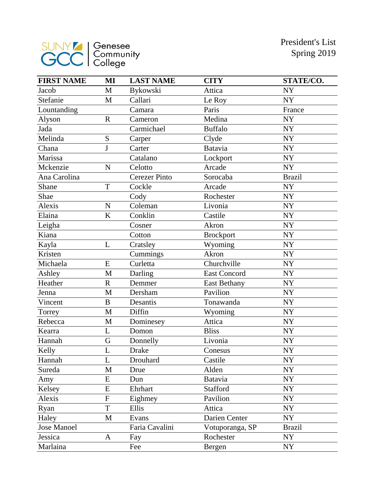

| <b>FIRST NAME</b>  | MI                      | <b>LAST NAME</b>     | <b>CITY</b>         | STATE/CO.     |
|--------------------|-------------------------|----------------------|---------------------|---------------|
| Jacob              | $\mathbf{M}$            | Bykowski             | Attica              | <b>NY</b>     |
| Stefanie           | M                       | Callari              | Le Roy              | <b>NY</b>     |
| Lountanding        |                         | Camara               | Paris               | France        |
| Alyson             | $\mathbf R$             | Cameron              | Medina              | <b>NY</b>     |
| Jada               |                         | Carmichael           | <b>Buffalo</b>      | <b>NY</b>     |
| Melinda            | S                       | Carper               | Clyde               | <b>NY</b>     |
| Chana              | J                       | Carter               | <b>Batavia</b>      | <b>NY</b>     |
| Marissa            |                         | Catalano             | Lockport            | <b>NY</b>     |
| Mckenzie           | $\mathbf N$             | Celotto              | Arcade              | <b>NY</b>     |
| Ana Carolina       |                         | <b>Cerezer Pinto</b> | Sorocaba            | <b>Brazil</b> |
| Shane              | T                       | Cockle               | Arcade              | <b>NY</b>     |
| Shae               |                         | Cody                 | Rochester           | <b>NY</b>     |
| Alexis             | N                       | Coleman              | Livonia             | NY            |
| Elaina             | $\rm K$                 | Conklin              | Castile             | NY            |
| Leigha             |                         | Cosner               | Akron               | <b>NY</b>     |
| Kiana              |                         | Cotton               | <b>Brockport</b>    | <b>NY</b>     |
| Kayla              | L                       | Cratsley             | Wyoming             | NY            |
| Kristen            |                         | Cummings             | Akron               | NY            |
| Michaela           | E                       | Curletta             | Churchville         | NY            |
| Ashley             | $\mathbf{M}$            | Darling              | <b>East Concord</b> | <b>NY</b>     |
| Heather            | $\overline{\mathrm{R}}$ | Demmer               | <b>East Bethany</b> | NY            |
| Jenna              | $\mathbf{M}$            | Dersham              | Pavilion            | NY            |
| Vincent            | $\overline{B}$          | Desantis             | Tonawanda           | <b>NY</b>     |
| Torrey             | M                       | Diffin               | Wyoming             | NY            |
| Rebecca            | M                       | Dominesey            | Attica              | <b>NY</b>     |
| Kearra             | L                       | Domon                | <b>Bliss</b>        | NY            |
| Hannah             | G                       | Donnelly             | Livonia             | <b>NY</b>     |
| Kelly              | L                       | <b>Drake</b>         | Conesus             | <b>NY</b>     |
| Hannah             | L                       | Drouhard             | Castile             | <b>NY</b>     |
| Sureda             | M                       | Drue                 | Alden               | <b>NY</b>     |
| Amy                | E                       | Dun                  | Batavia             | <b>NY</b>     |
| Kelsey             | E                       | Ehrhart              | Stafford            | <b>NY</b>     |
| Alexis             | F                       | Eighmey              | Pavilion            | <b>NY</b>     |
| Ryan               | T                       | Ellis                | Attica              | NY            |
| Haley              | $\mathbf{M}$            | Evans                | Darien Center       | <b>NY</b>     |
| <b>Jose Manoel</b> |                         | Faria Cavalini       | Votuporanga, SP     | <b>Brazil</b> |
| Jessica            | A                       | Fay                  | Rochester           | <b>NY</b>     |
| Marlaina           |                         | Fee                  | Bergen              | NY            |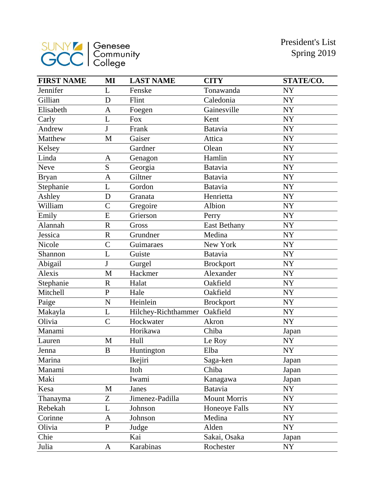

| <b>FIRST NAME</b> | MI               | <b>LAST NAME</b>    | <b>CITY</b>         | STATE/CO.  |
|-------------------|------------------|---------------------|---------------------|------------|
| Jennifer          | L                | Fenske              | Tonawanda           | <b>NY</b>  |
| Gillian           | D                | Flint               | Caledonia           | <b>NY</b>  |
| Elisabeth         | $\mathbf{A}$     | Foegen              | Gainesville         | NY         |
| Carly             | L                | <b>Fox</b>          | Kent                | ${\rm NY}$ |
| Andrew            | J                | Frank               | <b>Batavia</b>      | <b>NY</b>  |
| Matthew           | M                | Gaiser              | Attica              | <b>NY</b>  |
| Kelsey            |                  | Gardner             | Olean               | <b>NY</b>  |
| Linda             | A                | Genagon             | Hamlin              | NY         |
| Neve              | S                | Georgia             | Batavia             | <b>NY</b>  |
| <b>Bryan</b>      | $\overline{A}$   | Giltner             | Batavia             | NY         |
| Stephanie         | L                | Gordon              | Batavia             | <b>NY</b>  |
| Ashley            | D                | Granata             | Henrietta           | NY         |
| William           | $\overline{C}$   | Gregoire            | Albion              | <b>NY</b>  |
| Emily             | E                | Grierson            | Perry               | <b>NY</b>  |
| Alannah           | $\mathbf R$      | Gross               | <b>East Bethany</b> | <b>NY</b>  |
| Jessica           | $\mathbf R$      | Grundner            | Medina              | NY         |
| Nicole            | $\overline{C}$   | Guimaraes           | New York            | <b>NY</b>  |
| Shannon           | L                | Guiste              | <b>Batavia</b>      | <b>NY</b>  |
| Abigail           | J                | Gurgel              | <b>Brockport</b>    | <b>NY</b>  |
| Alexis            | M                | Hackmer             | Alexander           | NY         |
| Stephanie         | $\mathbf R$      | Halat               | Oakfield            | <b>NY</b>  |
| Mitchell          | $\mathbf P$      | Hale                | Oakfield            | NY         |
| Paige             | N                | Heinlein            | <b>Brockport</b>    | <b>NY</b>  |
| Makayla           | L                | Hilchey-Richthammer | Oakfield            | <b>NY</b>  |
| Olivia            | $\overline{C}$   | Hockwater           | Akron               | <b>NY</b>  |
| Manami            |                  | Horikawa            | Chiba               | Japan      |
| Lauren            | M                | Hull                | Le Roy              | <b>NY</b>  |
| Jenna             | $\boldsymbol{B}$ | Huntington          | Elba                | <b>NY</b>  |
| Marina            |                  | Ikejiri             | Saga-ken            | Japan      |
| Manami            |                  | Itoh                | Chiba               | Japan      |
| Maki              |                  | Iwami               | Kanagawa            | Japan      |
| Kesa              | M                | Janes               | Batavia             | <b>NY</b>  |
| Thanayma          | Z                | Jimenez-Padilla     | <b>Mount Morris</b> | NY         |
| Rebekah           | L                | Johnson             | Honeoye Falls       | <b>NY</b>  |
| Corinne           | A                | Johnson             | Medina              | NY         |
| Olivia            | $\overline{P}$   | Judge               | Alden               | <b>NY</b>  |
| Chie              |                  | Kai                 | Sakai, Osaka        | Japan      |
| Julia             | A                | Karabinas           | Rochester           | <b>NY</b>  |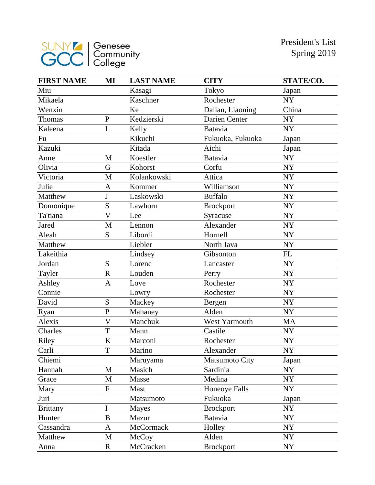

| <b>FIRST NAME</b> | MI             | <b>LAST NAME</b> | <b>CITY</b>           | STATE/CO. |
|-------------------|----------------|------------------|-----------------------|-----------|
| Miu               |                | Kasagi           | Tokyo                 | Japan     |
| Mikaela           |                | Kaschner         | Rochester             | NY        |
| Wenxin            |                | Ke               | Dalian, Liaoning      | China     |
| Thomas            | ${\bf P}$      | Kedzierski       | Darien Center         | <b>NY</b> |
| Kaleena           | L              | Kelly            | Batavia               | <b>NY</b> |
| Fu                |                | Kikuchi          | Fukuoka, Fukuoka      | Japan     |
| Kazuki            |                | Kitada           | Aichi                 | Japan     |
| Anne              | M              | Koestler         | <b>Batavia</b>        | NY        |
| Olivia            | G              | Kohorst          | Corfu                 | <b>NY</b> |
| Victoria          | M              | Kolankowski      | Attica                | NY        |
| Julie             | $\mathbf{A}$   | Kommer           | Williamson            | <b>NY</b> |
| Matthew           | J              | Laskowski        | <b>Buffalo</b>        | <b>NY</b> |
| Domonique         | S              | Lawhorn          | <b>Brockport</b>      | <b>NY</b> |
| Ta'tiana          | $\overline{V}$ | Lee              | Syracuse              | NY        |
| Jared             | $\mathbf{M}$   | Lennon           | Alexander             | <b>NY</b> |
| Aleah             | S              | Libordi          | Hornell               | NY        |
| Matthew           |                | Liebler          | North Java            | NY        |
| Lakeithia         |                | Lindsey          | Gibsonton             | FL        |
| Jordan            | S              | Lorenc           | Lancaster             | <b>NY</b> |
| Tayler            | $\mathbf R$    | Louden           | Perry                 | <b>NY</b> |
| Ashley            | $\mathbf{A}$   | Love             | Rochester             | <b>NY</b> |
| Connie            |                | Lowry            | Rochester             | <b>NY</b> |
| David             | S              | Mackey           | Bergen                | <b>NY</b> |
| Ryan              | $\overline{P}$ | Mahaney          | Alden                 | NY        |
| Alexis            | $\overline{V}$ | Manchuk          | West Yarmouth         | <b>MA</b> |
| Charles           | T              | Mann             | Castile               | NY        |
| Riley             | K              | Marconi          | Rochester             | <b>NY</b> |
| Carli             | T              | Marino           | Alexander             | <b>NY</b> |
| Chiemi            |                | Maruyama         | <b>Matsumoto City</b> | Japan     |
| Hannah            | M              | Masich           | Sardinia              | NY        |
| Grace             | $\mathbf M$    | Masse            | Medina                | NY        |
| Mary              | $\mathbf F$    | Mast             | <b>Honeoye Falls</b>  | NY        |
| Juri              |                | Matsumoto        | Fukuoka               | Japan     |
| <b>Brittany</b>   | I              | <b>Mayes</b>     | <b>Brockport</b>      | NY        |
| Hunter            | B              | Mazur            | Batavia               | NY        |
| Cassandra         | A              | McCormack        | Holley                | NY        |
| Matthew           | M              | McCoy            | Alden                 | NY        |
| Anna              | $\mathbf R$    | McCracken        | Brockport             | NY        |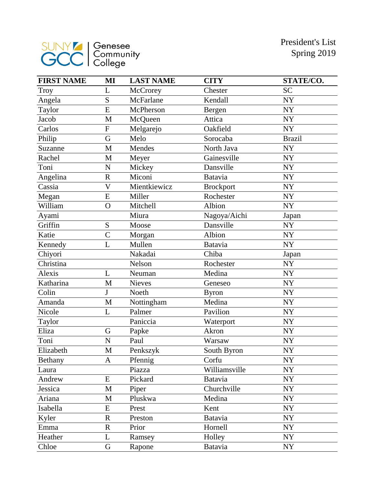

| <b>FIRST NAME</b> | MI                      | <b>LAST NAME</b> | <b>CITY</b>      | STATE/CO.     |
|-------------------|-------------------------|------------------|------------------|---------------|
| Troy              | L                       | McCrorey         | Chester          | <b>SC</b>     |
| Angela            | S                       | McFarlane        | Kendall          | <b>NY</b>     |
| Taylor            | $\overline{E}$          | McPherson        | Bergen           | <b>NY</b>     |
| Jacob             | M                       | McQueen          | Attica           | ${\rm NY}$    |
| Carlos            | $\overline{F}$          | Melgarejo        | Oakfield         | <b>NY</b>     |
| Philip            | G                       | Melo             | Sorocaba         | <b>Brazil</b> |
| Suzanne           | M                       | Mendes           | North Java       | <b>NY</b>     |
| Rachel            | M                       | Meyer            | Gainesville      | NY            |
| Toni              | N                       | Mickey           | Dansville        | NY            |
| Angelina          | $\mathbf R$             | Miconi           | <b>Batavia</b>   | NY            |
| Cassia            | $\overline{\mathsf{V}}$ | Mientkiewicz     | <b>Brockport</b> | NY            |
| Megan             | E                       | Miller           | Rochester        | <b>NY</b>     |
| William           | $\overline{O}$          | Mitchell         | Albion           | <b>NY</b>     |
| Ayami             |                         | Miura            | Nagoya/Aichi     | Japan         |
| Griffin           | ${\bf S}$               | Moose            | Dansville        | NY            |
| Katie             | $\overline{C}$          | Morgan           | Albion           | NY            |
| Kennedy           | L                       | Mullen           | <b>Batavia</b>   | <b>NY</b>     |
| Chiyori           |                         | Nakadai          | Chiba            | Japan         |
| Christina         |                         | Nelson           | Rochester        | NY            |
| Alexis            | L                       | Neuman           | Medina           | NY            |
| Katharina         | $\mathbf{M}$            | <b>Nieves</b>    | Geneseo          | NY            |
| Colin             | J                       | Noeth            | <b>Byron</b>     | NY            |
| Amanda            | $\mathbf{M}$            | Nottingham       | Medina           | NY            |
| Nicole            | L                       | Palmer           | Pavilion         | NY            |
| Taylor            |                         | Paniccia         | Waterport        | NY            |
| Eliza             | G                       | Papke            | Akron            | NY            |
| Toni              | N                       | Paul             | Warsaw           | NY            |
| Elizabeth         | M                       | Penkszyk         | South Byron      | NY            |
| Bethany           | A                       | Pfennig          | Corfu            | <b>NY</b>     |
| Laura             |                         | Piazza           | Williamsville    | NY            |
| Andrew            | E                       | Pickard          | <b>Batavia</b>   | NY            |
| Jessica           | M                       | Piper            | Churchville      | <b>NY</b>     |
| Ariana            | M                       | Pluskwa          | Medina           | NY            |
| Isabella          | E                       | Prest            | Kent             | <b>NY</b>     |
| Kyler             | $\mathbf R$             | Preston          | <b>Batavia</b>   | NY            |
| Emma              | $\mathbf R$             | Prior            | Hornell          | <b>NY</b>     |
| Heather           | L                       | Ramsey           | Holley           | NY            |
| Chloe             | $\mathbf G$             | Rapone           | <b>Batavia</b>   | NY            |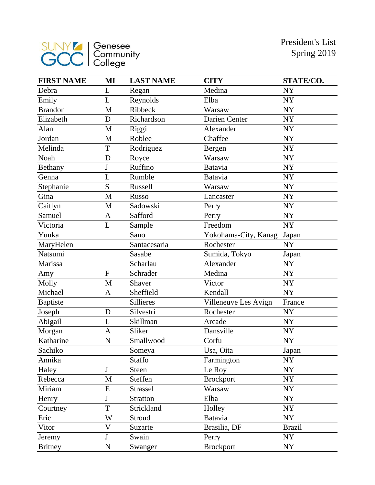

| <b>FIRST NAME</b> | MI                        | <b>LAST NAME</b> | <b>CITY</b>          | STATE/CO.     |
|-------------------|---------------------------|------------------|----------------------|---------------|
| Debra             | L                         | Regan            | Medina               | <b>NY</b>     |
| Emily             | L                         | Reynolds         | Elba                 | <b>NY</b>     |
| <b>Brandon</b>    | M                         | Ribbeck          | Warsaw               | <b>NY</b>     |
| Elizabeth         | D                         | Richardson       | Darien Center        | <b>NY</b>     |
| Alan              | M                         | Riggi            | Alexander            | <b>NY</b>     |
| Jordan            | M                         | Roblee           | Chaffee              | NY            |
| Melinda           | T                         | Rodriguez        | Bergen               | <b>NY</b>     |
| Noah              | D                         | Royce            | Warsaw               | NY            |
| Bethany           | $\mathbf{J}$              | Ruffino          | Batavia              | <b>NY</b>     |
| Genna             | L                         | Rumble           | <b>Batavia</b>       | <b>NY</b>     |
| Stephanie         | S                         | Russell          | Warsaw               | <b>NY</b>     |
| Gina              | $\mathbf{M}$              | Russo            | Lancaster            | NY            |
| Caitlyn           | M                         | Sadowski         | Perry                | <b>NY</b>     |
| Samuel            | A                         | Safford          | Perry                | <b>NY</b>     |
| Victoria          | L                         | Sample           | Freedom              | <b>NY</b>     |
| Yuuka             |                           | Sano             | Yokohama-City, Kanag | Japan         |
| MaryHelen         |                           | Santacesaria     | Rochester            | <b>NY</b>     |
| Natsumi           |                           | Sasabe           | Sumida, Tokyo        | Japan         |
| Marissa           |                           | Scharlau         | Alexander            | <b>NY</b>     |
| Amy               | $\overline{F}$            | Schrader         | Medina               | NY            |
| Molly             | $\mathbf{M}$              | Shaver           | Victor               | <b>NY</b>     |
| Michael           | A                         | Sheffield        | Kendall              | <b>NY</b>     |
| <b>Baptiste</b>   |                           | <b>Sillieres</b> | Villeneuve Les Avign | France        |
| Joseph            | D                         | Silvestri        | Rochester            | NY            |
| Abigail           | L                         | Skillman         | Arcade               | <b>NY</b>     |
| Morgan            | A                         | Sliker           | Dansville            | NY            |
| Katharine         | N                         | Smallwood        | Corfu                | <b>NY</b>     |
| Sachiko           |                           | Someya           | Usa, Oita            | Japan         |
| Annika            |                           | <b>Staffo</b>    | Farmington           | NY            |
| Haley             | J                         | Steen            | Le Roy               | NY            |
| Rebecca           | $\mathbf M$               | Steffen          | <b>Brockport</b>     | <b>NY</b>     |
| Miriam            | E                         | <b>Strassel</b>  | Warsaw               | NY            |
| Henry             | J                         | <b>Stratton</b>  | Elba                 | <b>NY</b>     |
| Courtney          | T                         | Strickland       | Holley               | NY            |
| Eric              | W                         | Stroud           | Batavia              | NY            |
| Vitor             | $\boldsymbol{\mathrm{V}}$ | Suzarte          | Brasilia, DF         | <b>Brazil</b> |
| Jeremy            | ${\bf J}$                 | Swain            | Perry                | NY            |
| <b>Britney</b>    | $\overline{\rm N}$        | Swanger          | <b>Brockport</b>     | <b>NY</b>     |